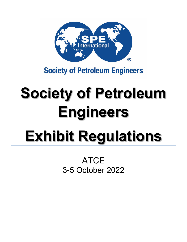

# **Society of Petroleum Engineers**

# **Society of Petroleum Engineers Exhibit Regulations**

ATCE 3-5 October 2022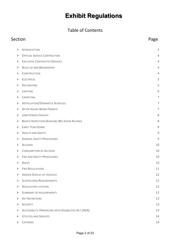#### Table of Contents

## Section **Page**  $\triangleright$  [INTRODUCTION](#page-2-0) 3 → [OFFICIAL SERVICE CONTRACTORS](#page-3-0) 4 ► [EXCLUSIVE CONTRACTED SERVICES](#page-3-1) 4  $\triangleright$  [BUILD UP AND BREAKDOWN](#page-3-2) 4  $\triangleright$  [CONSTRUCTION](#page-3-3) 4  $\triangleright$  [ELECTRICAL](#page-4-0) 5  $\triangleright$  Decorating 5  $\triangleright$  Lighting 6  $\triangleright$  [CARPETING](#page-6-0) 7 > [INSTALLATION/DISMANTLE SCHEDULE](#page-6-1) 7 → [AFTER HOURS WORK PERMITS](#page-6-2) 7 [UNATTENDED FREIGHT](#page-7-0) 8 S [BOOTH INSPECTION DEADLINE \(NO-SHOW RULING\)](#page-7-1) 8  $\triangleright$  [EARLY TEAR DOWN](#page-8-0) 9  $\triangleright$  [HEALTH AND SAFETY](#page-8-1) 9 → [GENERAL SAFETY PROCEDURES](#page-8-2) 9  $\triangleright$  [ALCOHOL](#page-9-0) 10  $\triangleright$  [CONSUMPTION OF ALCOHOL](#page-9-1) 20  $\triangleright$  [FIRE AND SAFETY PROCEDURES](#page-9-2) 10  $\triangleright$  [AISLES](#page-9-3) 10  $\triangleright$  [FIRE REGULATIONS](#page-10-0) 11 → [INDOOR DISPLAY OF VEHICLES](#page-11-0) 12  $\triangleright$  [SCAFFOLDING REQUIREMENTS](#page-11-1) 12  $\triangleright$  [REGULATORY CITATION](#page-11-2) 12 [SUMMARY OF REQUIREMENTS](#page-11-3) 12  $\triangleright$  Key Definitions 13  $\triangleright$  [SECURITY](#page-12-1) 13 ACCESSIBILITY / AMERICANS WITH DISABILITIES ACT (ADA) 13  $\triangleright$  [UTILITIES AND SERVICES](#page-13-0) 14  $\triangleright$  Catering 14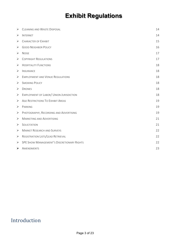| ➤                     | <b>CLEANING AND WASTE DISPOSAL</b>                | 14 |
|-----------------------|---------------------------------------------------|----|
| ➤                     | <b>INTERNET</b>                                   | 14 |
| ➤                     | <b>CHARACTER OF EXHIBIT</b>                       | 15 |
| ➤                     | <b>GOOD NEIGHBOR POLICY</b>                       | 16 |
| ➤                     | <b>NOISE</b>                                      | 17 |
| ➤                     | <b>COPYRIGHT REGULATIONS</b>                      | 17 |
| ➤                     | <b>HOSPITALITY FUNCTIONS</b>                      | 18 |
| ➤                     | <b>INSURANCE</b>                                  | 18 |
| ➤                     | <b>EMPLOYMENT AND VENUE REGULATIONS</b>           | 18 |
| ➤                     | <b>SMOKING POLICY</b>                             | 18 |
| ➤                     | <b>DRONES</b>                                     | 18 |
| $\blacktriangleright$ | <b>EMPLOYMENT OF LABOR/ UNION JURISDICTION</b>    | 18 |
| ➤                     | <b>AGE RESTRICTIONS TO EXHIBIT AREAS</b>          | 19 |
| ➤                     | <b>PARKING</b>                                    | 19 |
| ➤                     | PHOTOGRAPHY, RECORDING AND ADVERTISING            | 19 |
| ➤                     | <b>MARKETING AND ADVERTISING</b>                  | 21 |
| ➤                     | <b>SOLICITATION</b>                               | 21 |
| ➤                     | <b>MARKET RESEARCH AND SURVEYS</b>                | 22 |
| ➤                     | REGISTRATION LISTS/LEAD RETRIEVAL                 | 22 |
| $\blacktriangleright$ | <b>SPE SHOW MANAGEMENT'S DISCRETIONARY RIGHTS</b> | 22 |
| $\blacktriangleright$ | AMENDMENTS                                        | 23 |

## <span id="page-2-0"></span>Introduction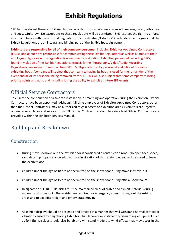SPE has developed these exhibit regulations in order to provide a well-balanced, well-regulated, attractive and successful show. No exceptions to these regulations will be permitted. SPE reserves the right to enforce strict compliance with these Exhibit Regulations. Each exhibitor ("Exhibitor") understands and agrees that the Exhibit Regulations are an integral and binding part of the Exhibit Space Agreement.

**Exhibitors are responsible for all of their company personnel**, including Exhibitor Appointed Contractors (EACs), and as such are responsible for communicating these Exhibit Regulations as well as all rules to their employees. Ignorance of a regulation is no excuse for a violation. Exhibiting personnel, including EACs, found in violation of the Exhibit Regulations, especially the Photography/Video/Audio Recording Regulations, are subject to removal from SPE. Multiple offenses by personnel and EACs of the same exhibiting booth/company will subject that company to having its booth closed for the remainder of the event and all of its personnel being removed from SPE. This will also subject that same company to losing priority points and up to and including losing the ability to exhibit at future SPE events.

## <span id="page-3-0"></span>Official Service Contractors

To ensure the continuation of a smooth installation, dismantling and operation during the Exhibition, Official Contractors have been appointed. Although full-time employees of Exhibitor-Appointed Contractors, other than the Official Contractors, may be authorized to gain access to exhibition areas, Exhibitors are urged to obtain required labor and services from SPE Official Contractors. Complete details of Official Contractors are provided within the Exhibitor Services Manual.

## <span id="page-3-2"></span><span id="page-3-1"></span>Build up and Breakdown

#### <span id="page-3-3"></span>Construction

- During move-in/move-out, the exhibit floor is considered a construction zone. No open toed shoes, sandals or flip flops are allowed. If you are in violation of this safety rule, you will be asked to leave the exhibit floor.
- Children under the age of 18 are not permitted on the show floor during move-in/move-out.
- Children under the age of 15 are not permitted on the show floor during official show hours.
- Designated "NO FREIGHT" aisles must be maintained clear of crates and exhibit materials during move-in and move-out. These aisles are required for emergency access throughout the exhibit areas and to expedite freight and empty crate moving.
- All exhibit displays should be designed and erected in a manner that will withstand normal contact or vibration caused by neighboring Exhibitors, hall laborers or installation/dismantling equipment such as forklifts. Displays should also be able to withstand moderate wind effects that may occur in the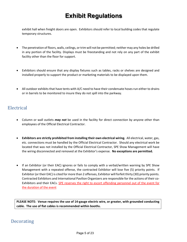exhibit hall when freight doors are open. Exhibitors should refer to local building codes that regulate temporary structures.

- The penetration of floors, walls, ceilings, or trim will not be permitted; neither may any holes be drilled in any portion of the facility. Displays must be freestanding and not rely on any part of the exhibit facility other than the floor for support.
- Exhibitors should ensure that any display fixtures such as tables, racks or shelves are designed and installed properly to support the product or marketing materials to be displayed upon them.
- All outdoor exhibits that have tents with A/C need to have their condensate hoses run either to drains or in barrels to be monitored to insure they do not spill into the parkway.

#### <span id="page-4-0"></span>Electrical

- Column or wall outlets *may not* be used in the facility for direct connection by anyone other than employees of the Official Electrical Contractor.
- **Exhibitors are strictly prohibited from installing their own electrical wiring.** All electrical, water, gas, etc. connections must be handled by the Official Electrical Contractor. Should any electrical work be located that was not installed by the Official Electrical Contractor, SPE Show Management will have the wiring disconnected and removed at the Exhibitor's expense. **No exceptions are permitted.**
- If an Exhibitor (or their EAC) ignores or fails to comply with a verbal/written warning by SPE Show Management with a repeated offense, the contracted Exhibitor will lose five (5) priority points. If Exhibitor (or their EAC) is cited for more than 2 offenses, Exhibitor will forfeit thirty (30) priority points. Contracted Exhibitors and International Pavilion Organizers are responsible for the actions of their co-Exhibitors and their EACs. SPE reserves the right to escort offending personnel out of the event for the duration of the event

**PLEASE NOTE: Venue requires the use of 14-gauge electric wire, or greater, with grounded conducting cable. The use of flat cables is recommended within booths.**

#### <span id="page-4-1"></span>Decorating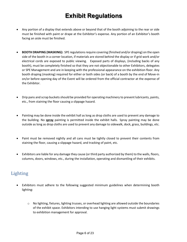- Any portion of a display that extends above or beyond that of the booth adjoining to the rear or side must be finished with paint or drape at the Exhibitor's expense. Any portion of an Exhibitor's booth facing an aisle must be finished.
- **BOOTH DRAPING (MASKING):** SPE regulations require covering (finished and/or draping) on the open side of the booth in a corner location, if materials are stored behind the display or if grid work and/or electrical cords are exposed to public viewing. Exposed parts of displays, (including backs of any booth), must be completely finished so that they are not objectionable to other Exhibitors, delegates or SPE Management and are in keeping with the professional appearance on the exhibition floor. Any booth draping (masking) required for either or both sides (or back) of a booth by the end of Move-in on/or before opening day of the Event will be ordered from the official contractor at the expense of the Exhibitor.
- Drip pans and scrap buckets should be provided for operating machinery to prevent lubricants, paints, etc., from staining the floor causing a slippage hazard.
- Painting may be done inside the exhibit hall as long as drop cloths are used to prevent any damage to the building. No **spray** painting is permitted inside the exhibit halls. Spray painting may be done outside as long as drop cloths are used to prevent any damage to sidewalk, dock, grass, buildings, etc.
- Paint must be removed nightly and all cans must be tightly closed to prevent their contents from staining the floor, causing a slippage hazard, and tracking of paint, etc.
- Exhibitors are liable for any damage they cause (or third party authorized by them) to the walls, floors, columns, doors, windows, etc., during the installation, operating and dismantling of their exhibits.

#### <span id="page-5-0"></span>Lighting

- Exhibitors must adhere to the following suggested minimum guidelines when determining booth lighting:
	- o No lighting, fixtures, lighting trusses, or overhead lighting are allowed outside the boundaries of the exhibit space. Exhibitors intending to use hanging light systems must submit drawings to exhibition management for approval.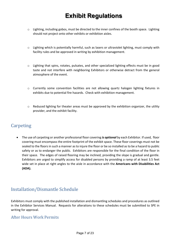- $\circ$  Lighting, including gobos, must be directed to the inner confines of the booth space. Lighting should not project onto other exhibits or exhibition aisles.
- $\circ$  Lighting which is potentially harmful, such as lasers or ultraviolet lighting, must comply with facility rules and be approved in writing by exhibition management.
- $\circ$  Lighting that spins, rotates, pulsates, and other specialized lighting effects must be in good taste and not interfere with neighboring Exhibitors or otherwise detract from the general atmosphere of the event.
- o Currently some convention facilities are not allowing quartz halogen lighting fixtures in exhibits due to potential fire hazards. Check with exhibition management.
- $\circ$  Reduced lighting for theater areas must be approved by the exhibition organizer, the utility provider, and the exhibit facility.

#### <span id="page-6-0"></span>**Carpeting**

• The use of carpeting or another professional floor covering *is optional* by each Exhibitor. If used, floor covering must encompass the entire footprint of the exhibit space. These floor coverings must not be sealed to the floors in such a manner as to injure the floor or be so installed as to be a hazard to public safety or as to endanger the public. Exhibitors are responsible for the final condition of the floor in their space. The edges of raised flooring may be inclined, providing the slope is gradual and gentle. Exhibitors are urged to simplify access for disabled persons by providing a ramp of at least 3.5 feet wide set in place at right angles to the aisle in accordance with the **Americans with Disabilities Act (ADA).**

## <span id="page-6-1"></span>Installation/Dismantle Schedule

Exhibitors must comply with the published installation and dismantling schedules and procedures as outlined in the Exhibitor Services Manual. Requests for alterations to these schedules must be submitted to SPE in writing for approval.

#### <span id="page-6-2"></span>After Hours Work Permits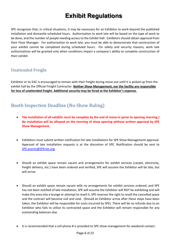SPE recognizes that, in critical situations, it may be necessary for an Exhibitor to work beyond the published installation and dismantle scheduled hours. Authorization to work late will be based on the type of work to be done, and the number of people needing access to the Exhibit Hall. Exhibitors should obtain approval from their Floor Manager. For authorization to work late, you must be able to demonstrate that construction of your exhibit cannot be completed during scheduled hours. For safety and security reasons, work late authorizations will be granted only when conditions impact a company's ability to complete construction of their exhibit.

#### <span id="page-7-0"></span>Unattended Freight

Exhibitor or its EAC is encouraged to remain with their freight during move-out until it is picked up from the exhibit hall by the Official Freight Contractor. **Neither Show Management, nor the facility are responsible for loss of unattended freight. Additional security may be hired at the Exhibitor's expense.**

## <span id="page-7-1"></span>Booth Inspection Deadline (No-Show Ruling)

- **The installation of all exhibits must be complete by the end of move-in (prior to opening morning.) No installation will be allowed on the morning of show opening without written approval by SPE Show Management.**
- Exhibitors must submit written notification for late installations for SPE Show Management approval. Approval of late installation requests is at the discretion of SPE. Notification should be sent to [SPE.events@SPEnet.org.](mailto:otc.events@otcnet.org)
- Should an exhibit space remain vacant and arrangements for exhibit services (carpet, electricity, freight delivery, etc.) have been ordered and verified, SPE will assume the Exhibitor will be late, but will arrive.
- Should an exhibit space remain vacant with no arrangements for exhibit services ordered, and SPE has not been notified of late installation, SPE will assume the Exhibitor will NOT be exhibiting and will make this area into a lounge or attempt to resell it. SPE reserves the right to resell the cancelled space and the contract will become null and void. (Should an Exhibitor arrive after these steps have been taken, the Exhibitor will be responsible for costs incurred by SPE). There will be no refunds due to an Exhibitor who fails to utilize its contracted space and the Exhibitor will remain responsible for any outstanding balances due.
- It is recommended that a cell phone # is provided to SPE show management for weekend contact.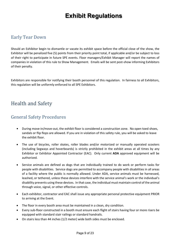#### <span id="page-8-0"></span>Early Tear Down

Should an Exhibitor begin to dismantle or vacate its exhibit space before the official close of the show, the Exhibitor will be penalized five (5) points from their priority point total, if applicable and/or be subject to loss of their right to participate in future SPE events. Floor managers/Exhibit Manager will report the names of companies in violation of this rule to Show Management. Emails will be sent post-show informing Exhibitors of their penalty.

Exhibitors are responsible for notifying their booth personnel of this regulation. In fairness to all Exhibitors, this regulation will be uniformly enforced to all SPE Exhibitors.

## <span id="page-8-1"></span>Health and Safety

#### <span id="page-8-2"></span>General Safety Procedures

- **•** During move-in/move-out, the exhibit floor is considered a construction zone. No open toed shoes, sandals or flip flops are allowed. If you are in violation of this safety rule, you will be asked to leave the exhibit floor.
- The use of bicycles, roller skates, roller blades and/or motorized or manually operated scooters (including Segways and hoverboards) is strictly prohibited in the exhibit areas at all times by any Exhibitor or Exhibitor Appointed Contractor (EAC). Only current **ADA** approved equipment will be authorized.
- Service animals are defined as dogs that are individually trained to do work or perform tasks for people with disabilities. Service dogs are permitted to accompany people with disabilities in all areas of a facility where the public is normally allowed. Under ADA, service animals must be harnessed, leashed, or tethered, unless these devices interfere with the service animal's work or the individual's disability prevents using these devices. In that case, the individual must maintain control of the animal through voice, signal, or other effective controls.
- Each exhibitor, contractor and EAC shall issue any appropriate personal protective equipment PRIOR to arriving at the Event.
- The floor in every booth area must be maintained in a clean, dry condition.
- Every sub-floor constructed in a booth must ensure each flight of stairs having four or more risers be equipped with standard stair railings or standard handrails.
- On stairs less than 44 inches (1/2 meter) wide both sides must be enclosed.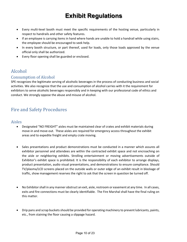- Every multi-level booth must meet the specific requirements of the hosting venue, particularly in respect to handrails and other safety features.
- If an employee is carrying items in hand where hands are unable to hold a handrail while using stairs, the employee should be encouraged to seek help.
- In every booth structure, or part thereof, used for loads, only those loads approved by the venue official only shall be authorized.
- Every floor opening shall be guarded or enclosed.

## <span id="page-9-0"></span>Alcohol

#### <span id="page-9-1"></span>Consumption of Alcohol

SPE recognizes the legitimate serving of alcoholic beverages in the process of conducting business and social activities. We also recognize that the use and consumption of alcohol carries with it the requirement for exhibitors to serve alcoholic beverages responsibly and in keeping with our professional code of ethics and conduct. We strongly oppose the abuse and misuse of alcohol.

#### <span id="page-9-2"></span>Fire and Safety Procedures

# <span id="page-9-3"></span>Aisles

- Designated "NO FREIGHT" aisles must be maintained clear of crates and exhibit materials during move-in and move-out. These aisles are required for emergency access throughout the exhibit areas and to expedite freight and empty crate moving.
- Sales presentations and product demonstrations must be conducted in a manner which assures all exhibitor personnel and attendees are within the contracted exhibit space and not encroaching on the aisle or neighboring exhibits. Strolling entertainment or moving advertisements outside of Exhibitor's exhibit space is prohibited. It is the responsibility of each exhibitor to arrange displays, product presentation, audio visual presentations, and demonstrations to ensure compliance. Should TV/plasma/LCD screens placed on the outside walls or outer edge of an exhibit result in blockage of traffic, show management reserves the right to ask that the screen in question be turned off.
- No Exhibitor shall in any manner obstruct an exit, aisle, restroom or easement at any time. In all cases, exits and fire connections must be clearly identifiable. The Fire Marshal shall have the final ruling on this matter.
- Drip pans and scrap buckets should be provided for operating machinery to prevent lubricants, paints, etc., from staining the floor causing a slippage hazard.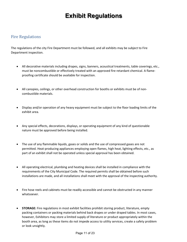#### <span id="page-10-0"></span>Fire Regulations

The regulations of the city Fire Department must be followed, and all exhibits may be subject to Fire Department inspection.

- All decorative materials including drapes, signs, banners, acoustical treatments, table coverings, etc., must be noncombustible or effectively treated with an approved fire retardant chemical. A flameproofing certificate should be available for inspection.
- All canopies, ceilings, or other overhead construction for booths or exhibits must be of noncombustible materials.
- Display and/or operation of any heavy equipment must be subject to the floor loading limits of the exhibit area.
- Any special effects, decorations, displays, or operating equipment of any kind of questionable nature must be approved before being installed.
- The use of any flammable liquids, gases or solids and the use of compressed gases are not permitted. Heat-producing appliances employing open flames, high heat, lighting effects, etc., as part of an exhibit shall not be operated unless special approval has been obtained.
- All operating electrical, plumbing and heating devices shall be installed in compliance with the requirements of the City Municipal Code. The required permits shall be obtained before such installations are made, and all installations shall meet with the approval of the inspecting authority.
- Fire hose reels and cabinets must be readily accessible and cannot be obstructed in any manner whatsoever.
- **STORAGE:** Fire regulations in most exhibit facilities prohibit storing product, literature, empty packing containers or packing materials behind back drapes or under draped tables. In most cases, however, Exhibitors may store a limited supply of literature or product appropriately within the booth area, as long as these items do not impede access to utility services, create a safety problem or look unsightly.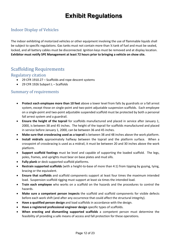#### <span id="page-11-0"></span>Indoor Display of Vehicles

The indoor exhibiting of motorized vehicles or other equipment involving the use of flammable liquids shall be subject to specific regulations. Gas tanks must not contain more than ¼ tank of fuel and must be sealed, locked, and all battery cables must be disconnected. Ignition keys must be removed and at display location. **Exhibitor must notify SPE Management at least 72 hours prior to bringing a vehicle on show site.**

#### <span id="page-11-1"></span>Scaffolding Requirements

#### <span id="page-11-2"></span>Regulatory citation

- 29 CFR 1910.27 Scaffolds and rope descent systems
- 29 CFR 1926 Subpart L Scaffolds

#### <span id="page-11-3"></span>Summary of requirements

- **Protect each employee more than 10 feet** above a lower level from falls by guardrails or a fall arrest system, except those on single-point and two-point adjustable suspension scaffolds. Each employee on a single-point and two-point adjustable suspended scaffold must be protected by both a personal fall arrest system and a guardrail.
- **Ensure the height of the toprail** for scaffolds manufactured and placed in service after January 1, 2000, is between 38 and 45 inches. The height of the toprail for scaffolds manufactured and placed in service before January 1, 2000, can be between 36 and 45 inches.
- **Make sure that crossbracing used as a toprail** is between 38 and 48 inches above the work platform.
- **Install midrails** approximately halfway between the toprail and the platform surface. When a crosspoint of crossbracing is used as a midrail, it must be between 20 and 30 inches above the work platform.
- **Support scaffold footings** must be level and capable of supporting the loaded scaffold. The legs, poles, frames, and uprights must bear on base plates and mud sills.
- **Fully plank** or deck supported scaffold platforms.
- **Restrain supported scaffolds** (with a height-to-base of more than 4:1) from tipping by guying, tying, bracing or the equivalent.
- **Ensure that scaffolds** and scaffold components support at least four times the maximum intended load. Suspension scaffold rigging must support at least six times the intended load.
- **Train each employee** who works on a scaffold on the hazards and the procedures to control the hazards.
- **Make sure a competent person inspects** the scaffold and scaffold components for visible defects before each work shift (and after any occurrence that could affect the structural integrity).
- **Have a qualified person design** and load scaffolds in accordance with the design.
- **Have a registered professional engineer design** specific types of scaffolds.
- **When erecting and dismantling supported scaffolds** a competent person must determine the feasibility of providing a safe means of access and fall protection for these operations.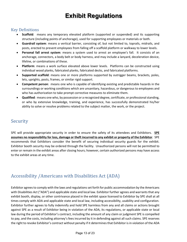#### <span id="page-12-0"></span>Key Definitions

- **Scaffold**: means any temporary elevated platform (supported or suspended) and its supporting structure (including points of anchorage), used for supporting employees or materials or both.
- **Guardrail system**: means a vertical barrier, consisting of, but not limited to, toprails, midrails, and posts, erected to prevent employees from falling off a scaffold platform or walkway to lower levels.
- **Personal fall arrest system**: means a system used to arrest an employee's fall. It consists of an anchorage, connectors, a body belt or body harness, and may include a lanyard, deceleration device, lifeline, or combinations of these.
- **Platform**: means a work surface elevated above lower levels. Platforms can be constructed using individual wood planks, fabricated planks, fabricated decks, and fabricated platforms.
- **Supported scaffold**: means one or more platforms supported by outrigger beams, brackets, poles, lets, uprights, posts, frames, or similar rigid support.
- **Competent person**: means one who is capable of identifying existing and predictable hazards in the surroundings or working conditions which are unsanitary, hazardous, or dangerous to employees and who has authorization to take prompt corrective measures to eliminate them.
- **Qualified**: means one who, by possession or a recognized degree, certificate, or professional standing, or who by extensive knowledge, training, and experience, has successfully demonstrated his/her ability to solve or resolve problems related to the subject matter, the work, or the project.

#### <span id="page-12-1"></span>Security

SPE will provide appropriate security in order to ensure the safety of its attendees and Exhibitors. **SPE assumes no responsibility for loss, damage or theft incurred to any exhibit or property of the Exhibitor**. SPE recommends that Exhibitors consider the benefit of securing individual security guards for the exhibit. Exhibitor booth security may be ordered through the facility. Unauthorized persons will not be permitted to enter or remain in the exhibit areas after closing hours; however, certain authorized persons may have access to the exhibit areas at any time.

## <span id="page-12-2"></span>Accessibility /Americans with Disabilities Act (ADA)

Exhibitor agrees to comply with the laws and regulations set forth for public accommodation by the Americans with Disabilities Act ("ADA") and applicable state and local law. Exhibitor further agrees and warrants that any exhibit booth, display, or other contrivance placed in the exhibit space licensed to Exhibitor by SPE shall at all times comply with ADA and applicable state and local law, including accessibility, usability and configuration. Exhibitor further agrees to fully indemnify and hold SPE harmless from any and all claims or actions brought against SPE as a result of Exhibitor being in violation of the ADA, its regulations, or applicable state or local law during the period of Exhibitor's contract, including the amount of any claim or judgment SPE is compelled to pay, and the costs, including attorney's fees incurred by it in defending against all such claims. SPE reserves the right to revoke Exhibitor's contract without penalty if it determines that Exhibitor is in violation of the ADA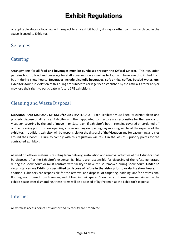or applicable state or local law with respect to any exhibit booth, display or other contrivance placed in the space licensed to Exhibitor.

## <span id="page-13-0"></span>Services

### <span id="page-13-1"></span>**Catering**

Arrangements for **all food and beverages must be purchased through the Official Caterer**. This regulation pertains both to food and beverage for staff consumption as well as to food and beverage distributed from booth during show hours. **Beverages include alcoholic beverages, soft drinks, coffee, bottled water, etc.** Exhibitors found in violation of this ruling are subject to corkage fees established by the Official Caterer and/or may lose their right to participate in future SPE exhibitions.

### <span id="page-13-2"></span>Cleaning and Waste Disposal

**CLEANING AND DISPOSAL OF USED/EXCESS MATERIALS:** Each Exhibitor must keep its exhibit clean and properly dispose of all refuse. Exhibitor and their appointed contractors are responsible for the removal of Visqueen covering by the end of move in on Saturday. If exhibitor's booth remains covered or cordoned off on the morning prior to show opening, any vacuuming on opening day morning will be at the expense of the exhibitor. In addition, exhibitor will be responsible for the disposal of the Visqueen and for vacuuming all aisles around their booth. Failure to comply with this regulation will result in the loss of 5 priority points for the contracted exhibitor.

All used or leftover materials resulting from delivery, installation and removal activities of the Exhibitor shall be disposed of at the Exhibitor's expense. Exhibitors are responsible for disposing of the refuse generated during the show hours or must contract with facility to have refuse removed during show hours. **Under no circumstances are Exhibitors permitted to dispose of refuse in the aisles prior to or during show hours.** In addition, Exhibitors are responsible for the removal and disposal of carpeting, padding, and/or professional flooring, not ordered from Freeman, and utilized in their space. Should any of these items remain within the exhibit space after dismantling, these items will be disposed of by Freeman at the Exhibitor's expense.

#### <span id="page-13-3"></span>Internet

All wireless access points not authorized by facility are prohibited.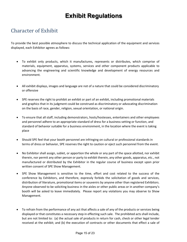## <span id="page-14-0"></span>Character of Exhibit

To provide the best possible atmosphere to discuss the technical application of the equipment and services displayed, each Exhibitor agrees as follows:

- To exhibit only products, which it manufactures, represents or distributes, which comprise of materials, equipment, apparatus, systems, services and other component products applicable to advancing the engineering and scientific knowledge and development of energy resources and environment.
- All exhibit displays, images and language are not of a nature that could be considered discriminatory or offensive
- SPE reserves the right to prohibit an exhibit or part of an exhibit, including promotional materials and graphics that in its judgment could be construed as discriminatory or advocating discrimination on the basis of race, gender, religion, sexual orientation, or national origin.
- To ensure that all staff, including demonstrators, hosts/hostesses, entertainers and other employees and personnel adhere to an appropriate standard of dress for a business setting or function, and standard of behavior suitable for a business environment, in the location where the event is taking place
- Should SPE feel that your booth personnel are infringing on cultural or professional standards in terms of dress or behavior, SPE reserves the right to caution or eject such personnel from the event.
- No Exhibitor shall assign, sublet, or apportion the whole or any part of the space allotted, nor exhibit therein, nor permit any other person or party to exhibit therein, any other goods, apparatus, etc., not manufactured or distributed by the Exhibitor in the regular course of business except upon prior written consent of SPE Show Management.
- SPE Show Management is sensitive to the time, effort and cost related to the success of the conference by Exhibitors, and therefore, expressly forbids the solicitation of goods and services, distribution of literature, promotional items or souvenirs by anyone other than registered Exhibitors. Anyone observed to be soliciting business in the aisles or other public areas or in another company's booth will be asked to leave immediately. Please report any violations you may observe to Show Management.
- To refrain from the performance of any act that affects a sale of any of the products or services being displayed or that constitutes a necessary step in effecting such sale. The prohibited acts shall include, but are not limited to: (a) the actual sale of products in return for cash, check or other legal tender received at the exhibit; and (b) the execution of contracts or other documents that effect a sale of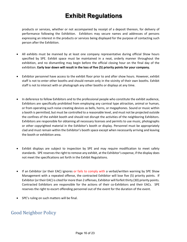products or services, whether or not accompanied by receipt of a deposit thereon, for delivery of performance following the Exhibition. Exhibitors may secure names and addresses of persons expressing an interest in the products or services being displayed for the purpose of contacting such person after the Exhibition.

- All exhibits must be manned by at least one company representative during official Show hours specified by SPE. Exhibit space must be maintained in a neat, orderly manner throughout the exhibition, and no dismantling may begin before the official closing hour on the final day of the exhibition. **Early tear down will result in the loss of five (5) priority points for your company.**
- Exhibitor personnel have access to the exhibit floor prior to and after show hours. However, exhibit staff is not to enter other booths and should remain only in the vicinity of their own booths. Exhibit staff is not to interact with or photograph any other booths or displays at any time.
- In deference to fellow Exhibitors and to the professional people who constitute the exhibit audience, Exhibitors are specifically prohibited from employing any carnival type attraction, animal or human, or from operating such noise creating devices as bells, horns, or megaphones. Sound or music within a booth is permitted, but must be controlled to a reasonable level, and must not be projected outside the confines of the exhibit booth and should not disrupt the activities of the neighboring Exhibitors. Exhibitors are responsible for obtaining all necessary licenses and permits to use music, photographs or other copyrighted material in the Exhibitor's booth or display. Personnel must be appropriately clad and must remain within the Exhibitor's booth space except when necessarily arriving and leaving the booth or exhibition area.
- Exhibit displays are subject to inspection by SPE and may require modification to meet safety standards. SPE reserves the right to remove any exhibit, at the Exhibitor's expense, if the display does not meet the specifications set forth in the Exhibit Regulations.
- If an Exhibitor (or their EAC) ignores or fails to comply with a verbal/written warning by SPE Show Management with a repeated offense, the contracted Exhibitor will lose five (5) priority points. If Exhibitor (or their EAC) is cited for more than 2 offenses, Exhibitor will forfeit thirty (30) priority points. Contracted Exhibitors are responsible for the actions of their co-Exhibitors and their EACs. SPE reserves the right to escort offending personnel out of the event for the duration of the event.
- SPE's ruling on such matters will be final.

#### <span id="page-15-0"></span>Good Neighbor Policy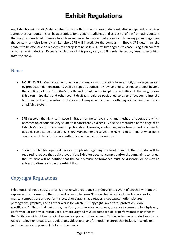Any Exhibitor using audio/video content in its booth for the purpose of demonstrating equipment or services agrees that such content shall be appropriate for a general audience, and agrees to refrain from using content that may be considered offensive to such an audience. In the event of a complaint from any person regarding the content or noise level by an Exhibitor, SPE will investigate the complaint. Should SPE determine the content to be offensive or in excess of appropriate noise levels, Exhibitor agrees to cease using such content or noise making device. Repeated violations of this policy can, at SPE's sole discretion, result in expulsion from the show.

#### <span id="page-16-0"></span>Noise

- **NOISE LEVELS:** Mechanical reproduction of sound or music relating to an exhibit, or noise generated by production demonstrations shall be kept at a sufficiently low volume so as not to project beyond the confines of the Exhibitor's booth and should not disrupt the activities of the neighboring Exhibitors. Speakers and other sound devices should be positioned so as to direct sound into the booth rather than the aisles. Exhibitors employing a band in their booth may not connect them to an amplifying system.
- SPE reserves the right to impose limitation on noise levels and any method of operation, which becomes objectionable. Any sound that consistently exceeds 85 decibels measured at the edge of an Exhibitor's booth is considered objectionable. However, continuous, monotone sound less than 85 decibels can also be a problem. Show Management reserves the right to determine at what point sound constitutes interference with others and must be discontinued.
- Should Exhibit Management receive complaints regarding the level of sound, the Exhibitor will be required to reduce the audible level. If the Exhibitor does not comply and/or the complaints continue, the Exhibitor will be notified that the sound/music performance must be discontinued or may be subject to dismissal from the exhibit floor.

#### <span id="page-16-1"></span>Copyright Regulations

Exhibitors shall not display, perform, or otherwise reproduce any Copyrighted Work of another without the express written consent of the copyright owner. The term "Copyrighted Work" includes literary works, musical compositions and performances, phonographs, audiotapes, videotapes, motion pictures, photographs, graphics, and all other works for which U.S. Copyright Law affords protection. More specifically, Exhibitor shall not display, perform, or otherwise reproduce, or cause to permit to be displayed, performed, or otherwise reproduced, any copyrighted musical composition or performance of another at the Exhibition without the copyright owner's express written consent. This includes the reproduction of any radio or television broadcasts, audiotapes, videotapes, and/or motion pictures that include, in whole or in part, the music composition(s) of any other party.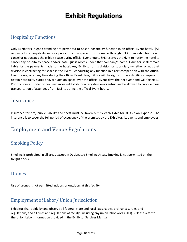## <span id="page-17-0"></span>Hospitality Functions

Only Exhibitors in good standing are permitted to host a hospitality function in an official Event hotel. (All requests for a hospitality suite or public function space must be made through SPE). If an exhibitor should cancel or not occupy the exhibit space during official Event hours, SPE reserves the right to notify the hotel to cancel any hospitality space and/or hotel guest rooms under that company's name. Exhibitor shall remain liable for the payments made to the hotel. Any Exhibitor or its division or subsidiary (whether or not that division is contracting for space in the Event), conducting any function in direct competition with the official Event hours, or at any time during the official Event days, will forfeit the rights of the exhibiting company to obtain hospitality suites and/or function space over the official Event days the next year and will forfeit 30 Priority Points. Under no circumstances will Exhibitor or any division or subsidiary be allowed to provide mass transportation of attendees from facility during the official Event hours**.**

## <span id="page-17-1"></span>**Insurance**

Insurance for fire, public liability and theft must be taken out by each Exhibitor at its own expense. The insurance is to cover the full period of occupancy of the premises by the Exhibitor, its agents and employees.

## <span id="page-17-2"></span>Employment and Venue Regulations

#### <span id="page-17-3"></span>Smoking Policy

Smoking is prohibited in all areas except in Designated Smoking Areas. Smoking is not permitted on the freight docks.

#### <span id="page-17-4"></span>Drones

Use of drones is not permitted indoors or outdoors at this facility.

## <span id="page-17-5"></span>Employment of Labor/ Union Jurisdiction

Exhibitor shall abide by and observe all federal, state and local laws, codes, ordinances, rules and regulations, and all rules and regulations of facility (including any union labor work rules). (Please refer to the Union Labor information provided in the Exhibitor Services Manual.)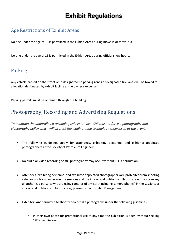#### <span id="page-18-0"></span>Age Restrictions of Exhibit Areas

No one under the age of 18 is permitted in the Exhibit Areas during move-in or move-out.

No one under the age of 15 is permitted in the Exhibit Areas during official show hours.

#### <span id="page-18-1"></span>Parking

Any vehicle parked on the street or in designated no parking zones or designated fire lanes will be towed to a location designated by exhibit facility at the owner's expense.

Parking permits must be obtained through the building.

## <span id="page-18-2"></span>Photography, Recording and Advertising Regulations

*To maintain the unparalleled technological experience, SPE must enforce a photography and videography policy which will protect the leading-edge technology showcased at the event.*

- The following guidelines apply for attendees, exhibiting personnel and exhibitor-appointed photographers at the Society of Petroleum Engineers.
- No audio or video recording or still photography may occur without SPE's permission.
- Attendees, exhibiting personnel and exhibitor-appointed photographers are prohibited from shooting video or photos anywhere in the sessions and the indoor and outdoor exhibition areas. If you see any unauthorized persons who are using cameras of any sort (including camera phones) in the sessions or indoor and outdoor exhibition areas, please contact Exhibit Management.
- Exhibitors *are* permitted to shoot video or take photographs under the following guidelines:
	- $\circ$  In their own booth for promotional use at any time the exhibition is open, without seeking SPE's permission.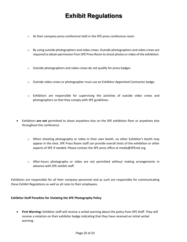- o At their company press conference held in the SPE press conference room.
- o By using outside photographers and video crews. Outside photographers and video crews are required to obtain permission from SPE Press Room to shoot photos or video of the exhibition.
- o Outside photographers and video crews do not qualify for press badges.
- o Outside video crews or photographer must use an Exhibitor-Appointed Contractor badge.
- o Exhibitors are responsible for supervising the activities of outside video crews and photographers so that they comply with SPE guidelines.
- Exhibitors *are not* permitted to shoot anywhere else on the SPE exhibition floor or anywhere else throughout the conference.
	- o When shooting photography or video in their own booth, no other Exhibitor's booth may appear in the shot. SPE Press Room staff can provide overall shots of the exhibition or other aspects of SPE if needed. Please contact the SPE press office at media@SPEnet.org.
	- o After-hours photography or video are not permitted without making arrangements in advance with SPE exhibit staff.

Exhibitors are responsible for all their company personnel and as such are responsible for communicating these Exhibit Regulations as well as all rules to their employees.

#### **Exhibitor Staff Penalties for Violating the SPE Photography Policy**

• **First Warning:** Exhibitor staff will receive a verbal warning about the policy from SPE Staff. They will receive a notation on their exhibitor badge indicating that they have received an initial verbal warning.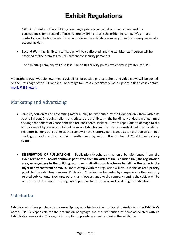SPE will also inform the exhibiting company's primary contact about the incident and the consequences for a second offense. Failure by SPE to inform the exhibiting company's primary contact about the first incident shall not relieve the exhibiting company from the consequences of a second incident.

• **Second Warning:** Exhibitor staff badge will be confiscated, and the exhibitor staff person will be escorted off the premises by SPE Staff and/or security personnel.

The exhibiting company will also lose 10% or 100 priority points, whichever is greater, for SPE.

Video/photography/audio news media guidelines for outside photographers and video crews will be posted on the Press page of the SPE website. To arrange for Press Video/Photo/Radio Opportunities please contact [media@SPEnet.org.](mailto:media@otcnet.org)

#### <span id="page-20-0"></span>Marketing and Advertising

- Samples, souvenirs and advertising material may be distributed by the Exhibitor only from within its booth. Balloons (including helium) and stickers are prohibited in the building. (Handouts with gummed backing that adhere or cause adhesion are considered stickers.) Cost of repair due to damage to the facility caused by stickers obtained from an Exhibitor will be the responsibility of that Exhibitor. Exhibitors handing out stickers at the Event will have 5 priority points deducted. Failure to discontinue handing out stickers after a verbal or written warning will result in the loss of 25 additional priority points.
- **DISTRIBUTION OF PUBLICATIONS:** Publications/brochures may only be distributed from the Exhibitor's booth **– no distribution is permitted from the aisles of the Exhibition Hall, the registration area, or anywhere in the building, nor may publications or brochures be left on the table in the foyer or any conference area.** Failure to comply with this regulation will result in the loss of 5 priority points for the exhibiting company. Publication Cubicles may be rented by companies for their industry related publications. Brochures other than those assigned to the company renting the cubicle will be removed and destroyed. This regulation pertains to pre-show as well as during the exhibition.

#### <span id="page-20-1"></span>Solicitation

Exhibitors who have purchased a sponsorship may not distribute their collateral materials to other Exhibitor's booths. SPE is responsible for the production of signage and the distribution of items associated with an Exhibitor's sponsorship. This regulation applies to pre-show as well as during the exhibition.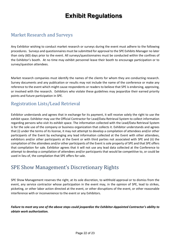#### <span id="page-21-0"></span>Market Research and Surveys

Any Exhibitor wishing to conduct market research or surveys during the event must adhere to the following procedures. Surveys and questionnaires must be submitted for approval to the SPE Exhibits Manager no later than sixty (60) days prior to the event. All surveys/questionnaires must be conducted within the confines of the Exhibitor's booth. At no time may exhibit personnel leave their booth to encourage participation or to survey/question attendees.

Market research companies must identify the names of the clients for whom they are conducting research. Survey documents and any publication or results may not include the name of the conference or make any reference to the event which might cause respondents or readers to believe that SPE is endorsing, approving, or involved with the research. Exhibitors who violate these guidelines may jeopardize their earned priority points and future participation in SPE.

#### <span id="page-21-1"></span>Registration Lists/Lead Retrieval

Exhibitor understands and agrees that in exchange for its payment, it will receive solely the right to use the exhibit space. Exhibitor may use the Official Contractor for Lead/Data Retrieval System to collect information regarding persons who visit its exhibit space. The information collected with the Lead/Data Retrieval System is for the sole use of the company or business organization that collects it. Exhibitor understands and agrees that (i) under the terms of its license, it may not attempt to develop a compilation of attendees and/or other participants of the Event by exchanging any lead information collected at the Event with other attendees, exhibitors and/or other participants at the Event or with third parties not associated with SPE and (ii) the compilation of the attendees and/or other participants of the Event is sole property of SPE and that SPE offers that compilation for sale. Exhibitor agrees that it will not use any lead data collected at the Conference to attempt to develop a compilation of attendees and/or participants that would be competitive to, or could be used in lieu of, the compilation that SPE offers for sale.

## <span id="page-21-2"></span>SPE Show Management's Discretionary Rights

SPE Show Management reserves the right, at its sole discretion, to withhold approval or to dismiss from the event, any service contractor whose participation in the event may, in the opinion of SPE, lead to strikes, picketing, or other labor action directed at the event, or other disruptions of the event, or other reasonable interference with or inconvenience to the event or any Exhibitors.

*Failure to meet any one of the above steps could jeopardize the Exhibitor-Appointed Contractor's ability to obtain work authorization.*